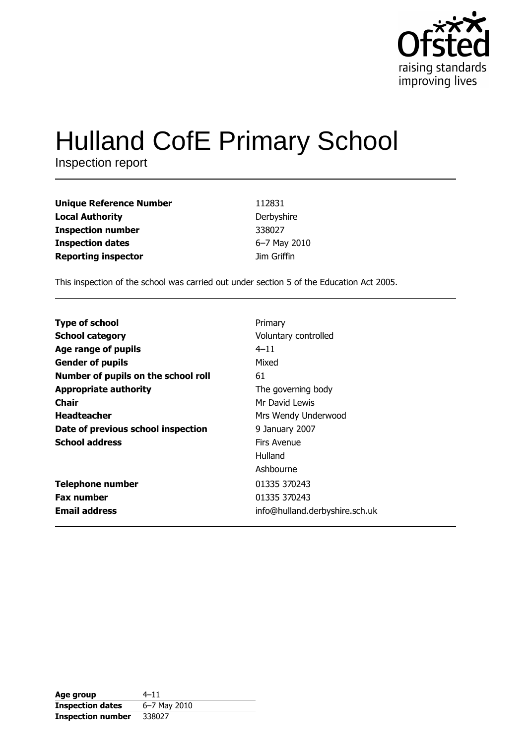

# **Hulland CofE Primary School**

Inspection report

| 112831       |
|--------------|
| Derbyshire   |
| 338027       |
| 6-7 May 2010 |
| Jim Griffin  |
|              |

This inspection of the school was carried out under section 5 of the Education Act 2005.

| Voluntary controlled<br>$4 - 11$<br>Mixed<br>61<br>The governing body<br>Mr David Lewis<br>Mrs Wendy Underwood<br>9 January 2007<br>Firs Avenue<br>Hulland<br>Ashbourne<br>01335 370243<br>01335 370243 |                                     |         |
|---------------------------------------------------------------------------------------------------------------------------------------------------------------------------------------------------------|-------------------------------------|---------|
|                                                                                                                                                                                                         | <b>Type of school</b>               | Primary |
|                                                                                                                                                                                                         | <b>School category</b>              |         |
|                                                                                                                                                                                                         | Age range of pupils                 |         |
|                                                                                                                                                                                                         | <b>Gender of pupils</b>             |         |
|                                                                                                                                                                                                         | Number of pupils on the school roll |         |
|                                                                                                                                                                                                         | <b>Appropriate authority</b>        |         |
|                                                                                                                                                                                                         | <b>Chair</b>                        |         |
|                                                                                                                                                                                                         | <b>Headteacher</b>                  |         |
|                                                                                                                                                                                                         | Date of previous school inspection  |         |
|                                                                                                                                                                                                         | <b>School address</b>               |         |
|                                                                                                                                                                                                         |                                     |         |
|                                                                                                                                                                                                         |                                     |         |
|                                                                                                                                                                                                         | <b>Telephone number</b>             |         |
|                                                                                                                                                                                                         | <b>Fax number</b>                   |         |
| info@hulland.derbyshire.sch.uk                                                                                                                                                                          | <b>Email address</b>                |         |

| Age group                | $4 - 11$     |
|--------------------------|--------------|
| <b>Inspection dates</b>  | 6–7 May 2010 |
| <b>Inspection number</b> | 338027       |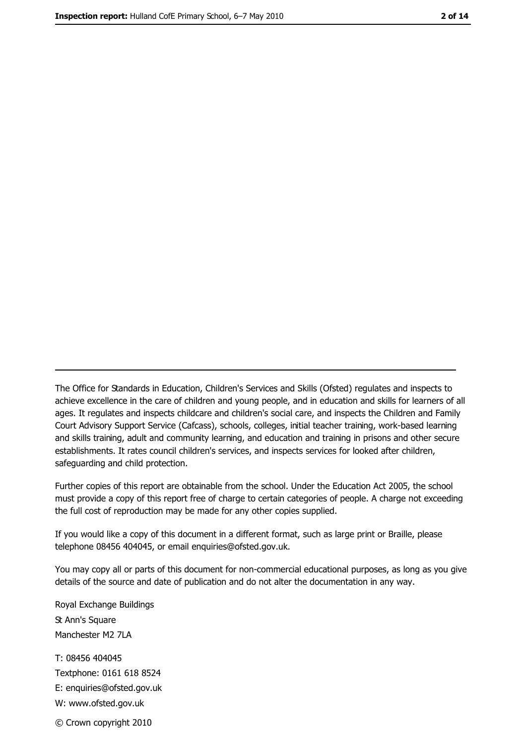The Office for Standards in Education, Children's Services and Skills (Ofsted) regulates and inspects to achieve excellence in the care of children and young people, and in education and skills for learners of all ages. It regulates and inspects childcare and children's social care, and inspects the Children and Family Court Advisory Support Service (Cafcass), schools, colleges, initial teacher training, work-based learning and skills training, adult and community learning, and education and training in prisons and other secure establishments. It rates council children's services, and inspects services for looked after children, safequarding and child protection.

Further copies of this report are obtainable from the school. Under the Education Act 2005, the school must provide a copy of this report free of charge to certain categories of people. A charge not exceeding the full cost of reproduction may be made for any other copies supplied.

If you would like a copy of this document in a different format, such as large print or Braille, please telephone 08456 404045, or email enquiries@ofsted.gov.uk.

You may copy all or parts of this document for non-commercial educational purposes, as long as you give details of the source and date of publication and do not alter the documentation in any way.

Royal Exchange Buildings St Ann's Square Manchester M2 7LA T: 08456 404045 Textphone: 0161 618 8524 E: enquiries@ofsted.gov.uk W: www.ofsted.gov.uk © Crown copyright 2010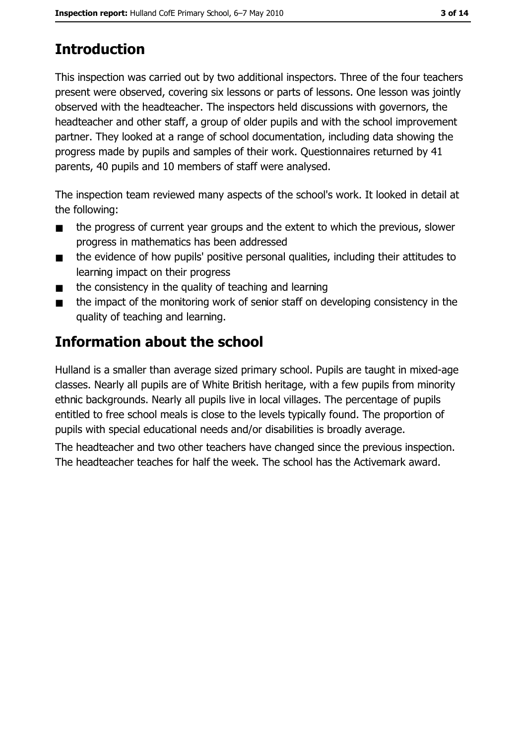# **Introduction**

This inspection was carried out by two additional inspectors. Three of the four teachers present were observed, covering six lessons or parts of lessons. One lesson was jointly observed with the headteacher. The inspectors held discussions with governors, the headteacher and other staff, a group of older pupils and with the school improvement partner. They looked at a range of school documentation, including data showing the progress made by pupils and samples of their work. Questionnaires returned by 41 parents, 40 pupils and 10 members of staff were analysed.

The inspection team reviewed many aspects of the school's work. It looked in detail at the following:

- the progress of current year groups and the extent to which the previous, slower  $\blacksquare$ progress in mathematics has been addressed
- the evidence of how pupils' positive personal qualities, including their attitudes to  $\blacksquare$ learning impact on their progress
- the consistency in the quality of teaching and learning  $\blacksquare$
- the impact of the monitoring work of senior staff on developing consistency in the  $\blacksquare$ quality of teaching and learning.

## **Information about the school**

Hulland is a smaller than average sized primary school. Pupils are taught in mixed-age classes. Nearly all pupils are of White British heritage, with a few pupils from minority ethnic backgrounds. Nearly all pupils live in local villages. The percentage of pupils entitled to free school meals is close to the levels typically found. The proportion of pupils with special educational needs and/or disabilities is broadly average.

The headteacher and two other teachers have changed since the previous inspection. The headteacher teaches for half the week. The school has the Activemark award.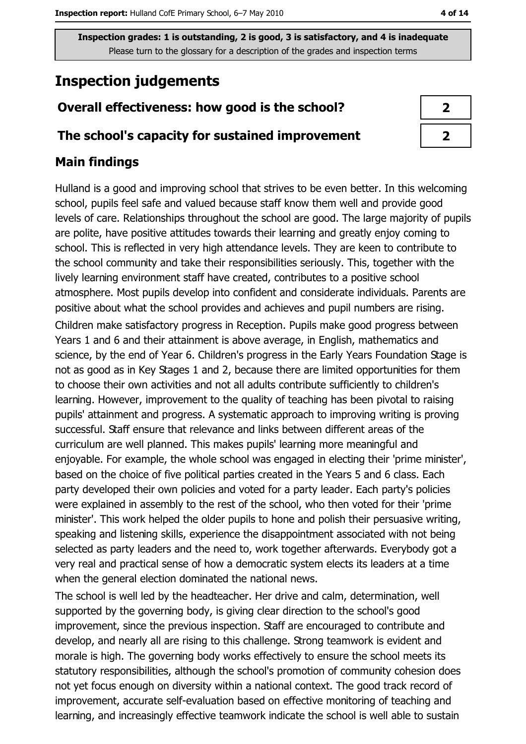## **Inspection judgements**

#### Overall effectiveness: how good is the school?

#### The school's capacity for sustained improvement

#### **Main findings**

Hulland is a good and improving school that strives to be even better. In this welcoming school, pupils feel safe and valued because staff know them well and provide good levels of care. Relationships throughout the school are good. The large majority of pupils are polite, have positive attitudes towards their learning and greatly enjoy coming to school. This is reflected in very high attendance levels. They are keen to contribute to the school community and take their responsibilities seriously. This, together with the lively learning environment staff have created, contributes to a positive school atmosphere. Most pupils develop into confident and considerate individuals. Parents are positive about what the school provides and achieves and pupil numbers are rising.

Children make satisfactory progress in Reception. Pupils make good progress between Years 1 and 6 and their attainment is above average, in English, mathematics and science, by the end of Year 6. Children's progress in the Early Years Foundation Stage is not as good as in Key Stages 1 and 2, because there are limited opportunities for them to choose their own activities and not all adults contribute sufficiently to children's learning. However, improvement to the quality of teaching has been pivotal to raising pupils' attainment and progress. A systematic approach to improving writing is proving successful. Staff ensure that relevance and links between different areas of the curriculum are well planned. This makes pupils' learning more meaningful and enjoyable. For example, the whole school was engaged in electing their 'prime minister', based on the choice of five political parties created in the Years 5 and 6 class. Each party developed their own policies and voted for a party leader. Each party's policies were explained in assembly to the rest of the school, who then voted for their 'prime minister'. This work helped the older pupils to hone and polish their persuasive writing, speaking and listening skills, experience the disappointment associated with not being selected as party leaders and the need to, work together afterwards. Everybody got a very real and practical sense of how a democratic system elects its leaders at a time when the general election dominated the national news.

The school is well led by the headteacher. Her drive and calm, determination, well supported by the governing body, is giving clear direction to the school's good improvement, since the previous inspection. Staff are encouraged to contribute and develop, and nearly all are rising to this challenge. Strong teamwork is evident and morale is high. The governing body works effectively to ensure the school meets its statutory responsibilities, although the school's promotion of community cohesion does not yet focus enough on diversity within a national context. The good track record of improvement, accurate self-evaluation based on effective monitoring of teaching and learning, and increasingly effective teamwork indicate the school is well able to sustain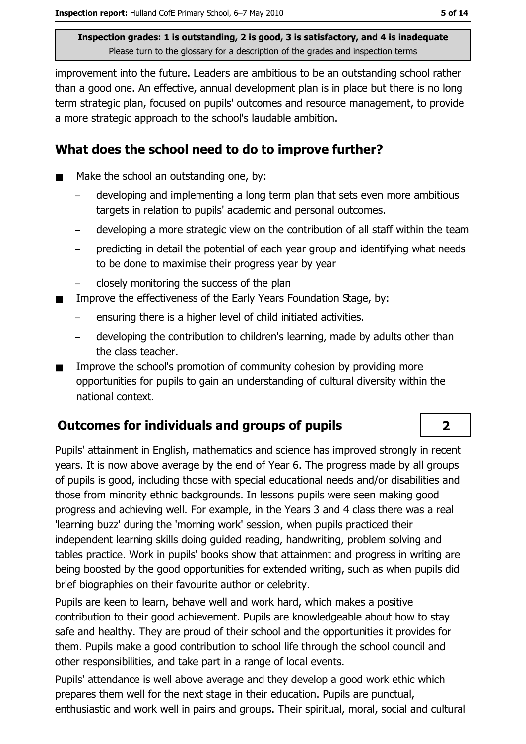improvement into the future. Leaders are ambitious to be an outstanding school rather than a good one. An effective, annual development plan is in place but there is no long term strategic plan, focused on pupils' outcomes and resource management, to provide a more strategic approach to the school's laudable ambition.

#### What does the school need to do to improve further?

- Make the school an outstanding one, by:  $\blacksquare$ 
	- developing and implementing a long term plan that sets even more ambitious targets in relation to pupils' academic and personal outcomes.
	- developing a more strategic view on the contribution of all staff within the team
	- predicting in detail the potential of each year group and identifying what needs to be done to maximise their progress year by year
	- closely monitoring the success of the plan
- Improve the effectiveness of the Early Years Foundation Stage, by:
	- ensuring there is a higher level of child initiated activities.
	- developing the contribution to children's learning, made by adults other than the class teacher.
- Improve the school's promotion of community cohesion by providing more  $\blacksquare$ opportunities for pupils to gain an understanding of cultural diversity within the national context.

#### **Outcomes for individuals and groups of pupils**

Pupils' attainment in English, mathematics and science has improved strongly in recent years. It is now above average by the end of Year 6. The progress made by all groups of pupils is good, including those with special educational needs and/or disabilities and those from minority ethnic backgrounds. In lessons pupils were seen making good progress and achieving well. For example, in the Years 3 and 4 class there was a real 'learning buzz' during the 'morning work' session, when pupils practiced their independent learning skills doing quided reading, handwriting, problem solving and tables practice. Work in pupils' books show that attainment and progress in writing are being boosted by the good opportunities for extended writing, such as when pupils did brief biographies on their favourite author or celebrity.

Pupils are keen to learn, behave well and work hard, which makes a positive contribution to their good achievement. Pupils are knowledgeable about how to stay safe and healthy. They are proud of their school and the opportunities it provides for them. Pupils make a good contribution to school life through the school council and other responsibilities, and take part in a range of local events.

Pupils' attendance is well above average and they develop a good work ethic which prepares them well for the next stage in their education. Pupils are punctual, enthusiastic and work well in pairs and groups. Their spiritual, moral, social and cultural

#### $\overline{2}$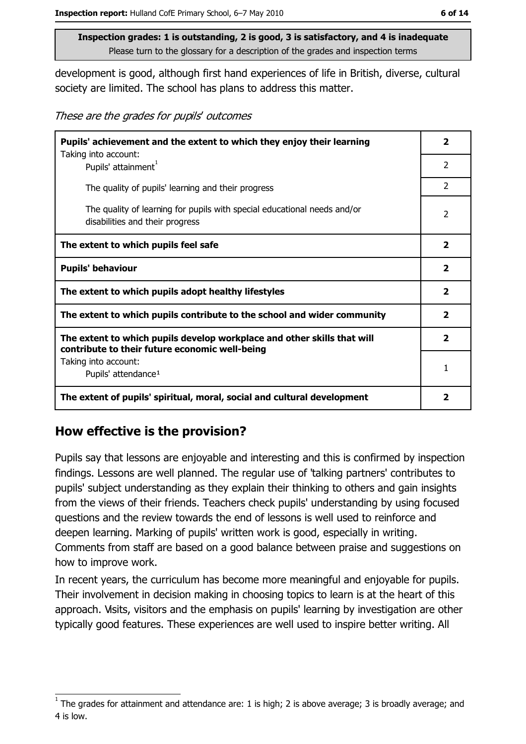development is good, although first hand experiences of life in British, diverse, cultural society are limited. The school has plans to address this matter.

These are the grades for pupils' outcomes

| Pupils' achievement and the extent to which they enjoy their learning                                                     |                |  |
|---------------------------------------------------------------------------------------------------------------------------|----------------|--|
| Taking into account:<br>Pupils' attainment <sup>1</sup>                                                                   | $\mathcal{P}$  |  |
| The quality of pupils' learning and their progress                                                                        | $\overline{2}$ |  |
| The quality of learning for pupils with special educational needs and/or<br>disabilities and their progress               | $\overline{2}$ |  |
| The extent to which pupils feel safe                                                                                      | $\mathbf{2}$   |  |
| <b>Pupils' behaviour</b>                                                                                                  | $\mathbf{2}$   |  |
| The extent to which pupils adopt healthy lifestyles                                                                       | $\overline{2}$ |  |
| The extent to which pupils contribute to the school and wider community                                                   | $\overline{2}$ |  |
| The extent to which pupils develop workplace and other skills that will<br>contribute to their future economic well-being | $\overline{2}$ |  |
| Taking into account:<br>Pupils' attendance <sup>1</sup>                                                                   | 1              |  |
| The extent of pupils' spiritual, moral, social and cultural development                                                   | 2              |  |

#### How effective is the provision?

Pupils say that lessons are enjoyable and interesting and this is confirmed by inspection findings. Lessons are well planned. The regular use of 'talking partners' contributes to pupils' subject understanding as they explain their thinking to others and gain insights from the views of their friends. Teachers check pupils' understanding by using focused questions and the review towards the end of lessons is well used to reinforce and deepen learning. Marking of pupils' written work is good, especially in writing. Comments from staff are based on a good balance between praise and suggestions on how to improve work.

In recent years, the curriculum has become more meaningful and enjoyable for pupils. Their involvement in decision making in choosing topics to learn is at the heart of this approach. Visits, visitors and the emphasis on pupils' learning by investigation are other typically good features. These experiences are well used to inspire better writing. All

The grades for attainment and attendance are: 1 is high; 2 is above average; 3 is broadly average; and 4 is low.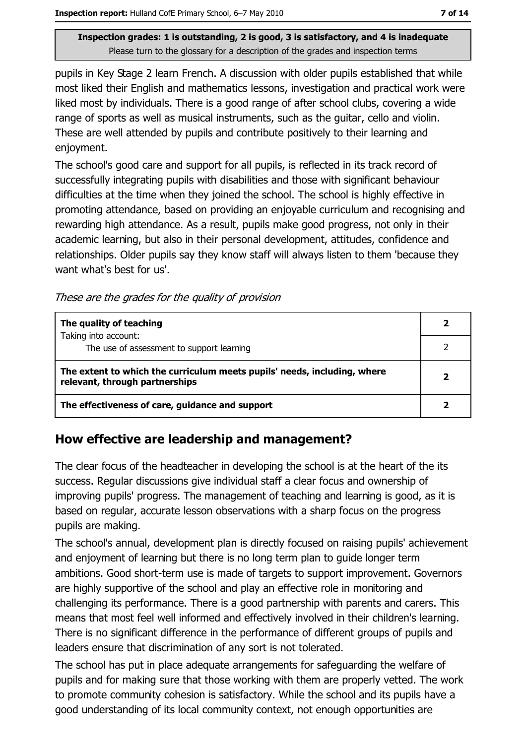pupils in Key Stage 2 learn French. A discussion with older pupils established that while most liked their English and mathematics lessons, investigation and practical work were liked most by individuals. There is a good range of after school clubs, covering a wide range of sports as well as musical instruments, such as the quitar, cello and violin. These are well attended by pupils and contribute positively to their learning and enjoyment.

The school's good care and support for all pupils, is reflected in its track record of successfully integrating pupils with disabilities and those with significant behaviour difficulties at the time when they joined the school. The school is highly effective in promoting attendance, based on providing an enjoyable curriculum and recognising and rewarding high attendance. As a result, pupils make good progress, not only in their academic learning, but also in their personal development, attitudes, confidence and relationships. Older pupils say they know staff will always listen to them 'because they want what's best for us'.

These are the grades for the quality of provision

| The quality of teaching                                                                                    |  |
|------------------------------------------------------------------------------------------------------------|--|
| Taking into account:<br>The use of assessment to support learning                                          |  |
| The extent to which the curriculum meets pupils' needs, including, where<br>relevant, through partnerships |  |
| The effectiveness of care, guidance and support                                                            |  |

#### How effective are leadership and management?

The clear focus of the headteacher in developing the school is at the heart of the its success. Regular discussions give individual staff a clear focus and ownership of improving pupils' progress. The management of teaching and learning is good, as it is based on regular, accurate lesson observations with a sharp focus on the progress pupils are making.

The school's annual, development plan is directly focused on raising pupils' achievement and enjoyment of learning but there is no long term plan to quide longer term ambitions. Good short-term use is made of targets to support improvement. Governors are highly supportive of the school and play an effective role in monitoring and challenging its performance. There is a good partnership with parents and carers. This means that most feel well informed and effectively involved in their children's learning. There is no significant difference in the performance of different groups of pupils and leaders ensure that discrimination of any sort is not tolerated.

The school has put in place adequate arrangements for safeguarding the welfare of pupils and for making sure that those working with them are properly vetted. The work to promote community cohesion is satisfactory. While the school and its pupils have a good understanding of its local community context, not enough opportunities are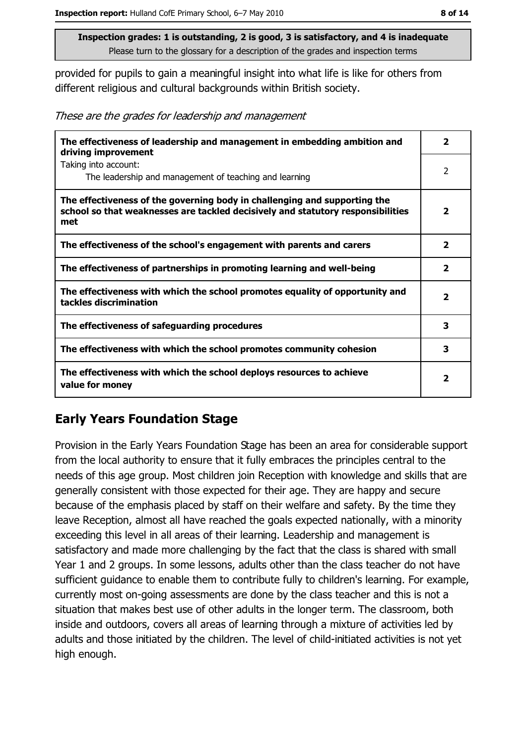provided for pupils to gain a meaningful insight into what life is like for others from different religious and cultural backgrounds within British society.

These are the grades for leadership and management

| The effectiveness of leadership and management in embedding ambition and<br>driving improvement                                                                     | $\overline{\mathbf{2}}$ |
|---------------------------------------------------------------------------------------------------------------------------------------------------------------------|-------------------------|
| Taking into account:<br>The leadership and management of teaching and learning                                                                                      | 2                       |
| The effectiveness of the governing body in challenging and supporting the<br>school so that weaknesses are tackled decisively and statutory responsibilities<br>met | $\mathbf{2}$            |
| The effectiveness of the school's engagement with parents and carers                                                                                                | $\overline{\mathbf{2}}$ |
| The effectiveness of partnerships in promoting learning and well-being                                                                                              | $\overline{\mathbf{2}}$ |
| The effectiveness with which the school promotes equality of opportunity and<br>tackles discrimination                                                              | $\overline{\mathbf{2}}$ |
| The effectiveness of safeguarding procedures                                                                                                                        | 3                       |
| The effectiveness with which the school promotes community cohesion                                                                                                 | 3                       |
| The effectiveness with which the school deploys resources to achieve<br>value for money                                                                             | $\overline{\mathbf{2}}$ |

#### **Early Years Foundation Stage**

Provision in the Early Years Foundation Stage has been an area for considerable support from the local authority to ensure that it fully embraces the principles central to the needs of this age group. Most children join Reception with knowledge and skills that are generally consistent with those expected for their age. They are happy and secure because of the emphasis placed by staff on their welfare and safety. By the time they leave Reception, almost all have reached the goals expected nationally, with a minority exceeding this level in all areas of their learning. Leadership and management is satisfactory and made more challenging by the fact that the class is shared with small Year 1 and 2 groups. In some lessons, adults other than the class teacher do not have sufficient quidance to enable them to contribute fully to children's learning. For example, currently most on-going assessments are done by the class teacher and this is not a situation that makes best use of other adults in the longer term. The classroom, both inside and outdoors, covers all areas of learning through a mixture of activities led by adults and those initiated by the children. The level of child-initiated activities is not yet high enough.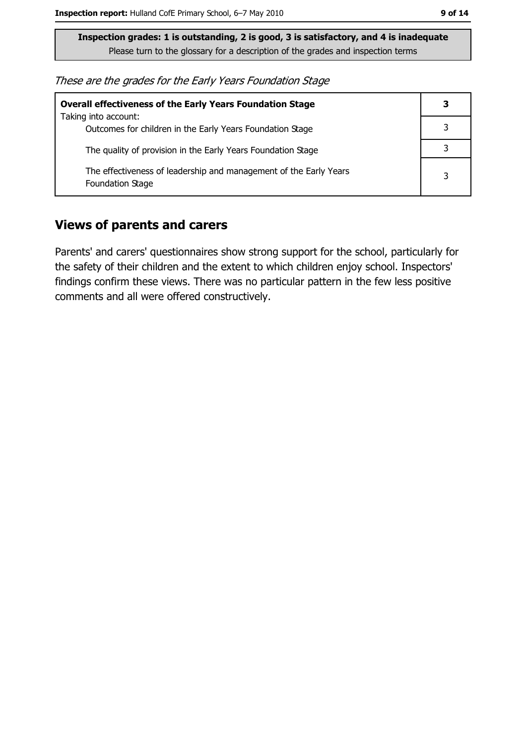These are the grades for the Early Years Foundation Stage

| <b>Overall effectiveness of the Early Years Foundation Stage</b><br>Taking into account: | 3 |
|------------------------------------------------------------------------------------------|---|
| Outcomes for children in the Early Years Foundation Stage                                |   |
| The quality of provision in the Early Years Foundation Stage                             |   |
| The effectiveness of leadership and management of the Early Years<br>Foundation Stage    | 3 |

#### **Views of parents and carers**

Parents' and carers' questionnaires show strong support for the school, particularly for the safety of their children and the extent to which children enjoy school. Inspectors' findings confirm these views. There was no particular pattern in the few less positive comments and all were offered constructively.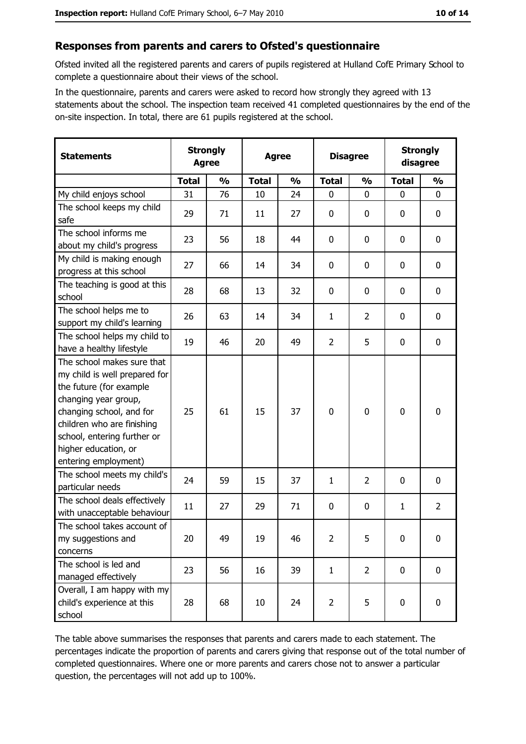#### Responses from parents and carers to Ofsted's questionnaire

Ofsted invited all the registered parents and carers of pupils registered at Hulland CofE Primary School to complete a questionnaire about their views of the school.

In the questionnaire, parents and carers were asked to record how strongly they agreed with 13 statements about the school. The inspection team received 41 completed questionnaires by the end of the on-site inspection. In total, there are 61 pupils registered at the school.

| <b>Statements</b>                                                                                                                                                                                                                                       | <b>Strongly</b><br><b>Agree</b> |               | <b>Agree</b> |               |                | <b>Disagree</b> |              | <b>Strongly</b><br>disagree |
|---------------------------------------------------------------------------------------------------------------------------------------------------------------------------------------------------------------------------------------------------------|---------------------------------|---------------|--------------|---------------|----------------|-----------------|--------------|-----------------------------|
|                                                                                                                                                                                                                                                         | <b>Total</b>                    | $\frac{0}{0}$ | <b>Total</b> | $\frac{0}{0}$ | <b>Total</b>   | $\frac{1}{2}$   | <b>Total</b> | $\frac{1}{2}$               |
| My child enjoys school                                                                                                                                                                                                                                  | 31                              | 76            | 10           | 24            | 0              | $\Omega$        | $\Omega$     | $\Omega$                    |
| The school keeps my child<br>safe                                                                                                                                                                                                                       | 29                              | 71            | 11           | 27            | $\mathbf 0$    | 0               | 0            | $\mathbf 0$                 |
| The school informs me<br>about my child's progress                                                                                                                                                                                                      | 23                              | 56            | 18           | 44            | 0              | 0               | 0            | 0                           |
| My child is making enough<br>progress at this school                                                                                                                                                                                                    | 27                              | 66            | 14           | 34            | 0              | 0               | 0            | 0                           |
| The teaching is good at this<br>school                                                                                                                                                                                                                  | 28                              | 68            | 13           | 32            | $\mathbf 0$    | 0               | $\Omega$     | 0                           |
| The school helps me to<br>support my child's learning                                                                                                                                                                                                   | 26                              | 63            | 14           | 34            | $\mathbf{1}$   | $\overline{2}$  | 0            | 0                           |
| The school helps my child to<br>have a healthy lifestyle                                                                                                                                                                                                | 19                              | 46            | 20           | 49            | $\overline{2}$ | 5               | 0            | $\mathbf 0$                 |
| The school makes sure that<br>my child is well prepared for<br>the future (for example<br>changing year group,<br>changing school, and for<br>children who are finishing<br>school, entering further or<br>higher education, or<br>entering employment) | 25                              | 61            | 15           | 37            | $\mathbf 0$    | $\mathbf 0$     | 0            | $\mathbf 0$                 |
| The school meets my child's<br>particular needs                                                                                                                                                                                                         | 24                              | 59            | 15           | 37            | 1              | $\overline{2}$  | 0            | $\mathbf 0$                 |
| The school deals effectively<br>with unacceptable behaviour                                                                                                                                                                                             | 11                              | 27            | 29           | 71            | $\mathbf 0$    | 0               | $\mathbf{1}$ | $\overline{2}$              |
| The school takes account of<br>my suggestions and<br>concerns                                                                                                                                                                                           | 20                              | 49            | 19           | 46            | $\overline{2}$ | 5               | 0            | $\bf{0}$                    |
| The school is led and<br>managed effectively                                                                                                                                                                                                            | 23                              | 56            | 16           | 39            | $\mathbf{1}$   | $\overline{2}$  | 0            | $\mathbf 0$                 |
| Overall, I am happy with my<br>child's experience at this<br>school                                                                                                                                                                                     | 28                              | 68            | 10           | 24            | $\overline{2}$ | 5               | $\mathbf 0$  | 0                           |

The table above summarises the responses that parents and carers made to each statement. The percentages indicate the proportion of parents and carers giving that response out of the total number of completed questionnaires. Where one or more parents and carers chose not to answer a particular question, the percentages will not add up to 100%.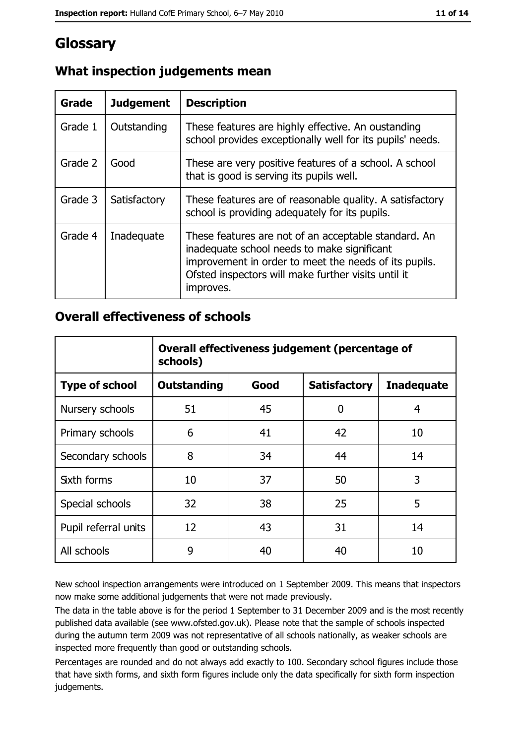### Glossary

| Grade   | <b>Judgement</b> | <b>Description</b>                                                                                                                                                                                                               |  |  |
|---------|------------------|----------------------------------------------------------------------------------------------------------------------------------------------------------------------------------------------------------------------------------|--|--|
| Grade 1 | Outstanding      | These features are highly effective. An oustanding<br>school provides exceptionally well for its pupils' needs.                                                                                                                  |  |  |
| Grade 2 | Good             | These are very positive features of a school. A school<br>that is good is serving its pupils well.                                                                                                                               |  |  |
| Grade 3 | Satisfactory     | These features are of reasonable quality. A satisfactory<br>school is providing adequately for its pupils.                                                                                                                       |  |  |
| Grade 4 | Inadequate       | These features are not of an acceptable standard. An<br>inadequate school needs to make significant<br>improvement in order to meet the needs of its pupils.<br>Ofsted inspectors will make further visits until it<br>improves. |  |  |

#### What inspection judgements mean

#### **Overall effectiveness of schools**

|                       | Overall effectiveness judgement (percentage of<br>schools) |      |                     |                   |
|-----------------------|------------------------------------------------------------|------|---------------------|-------------------|
| <b>Type of school</b> | <b>Outstanding</b>                                         | Good | <b>Satisfactory</b> | <b>Inadequate</b> |
| Nursery schools       | 51                                                         | 45   | 0                   | 4                 |
| Primary schools       | 6                                                          | 41   | 42                  | 10                |
| Secondary schools     | 8                                                          | 34   | 44                  | 14                |
| <b>Sixth forms</b>    | 10                                                         | 37   | 50                  | 3                 |
| Special schools       | 32                                                         | 38   | 25                  | 5                 |
| Pupil referral units  | 12                                                         | 43   | 31                  | 14                |
| All schools           | 9                                                          | 40   | 40                  | 10                |

New school inspection arrangements were introduced on 1 September 2009. This means that inspectors now make some additional judgements that were not made previously.

The data in the table above is for the period 1 September to 31 December 2009 and is the most recently published data available (see www.ofsted.gov.uk). Please note that the sample of schools inspected during the autumn term 2009 was not representative of all schools nationally, as weaker schools are inspected more frequently than good or outstanding schools.

Percentages are rounded and do not always add exactly to 100. Secondary school figures include those that have sixth forms, and sixth form figures include only the data specifically for sixth form inspection judgements.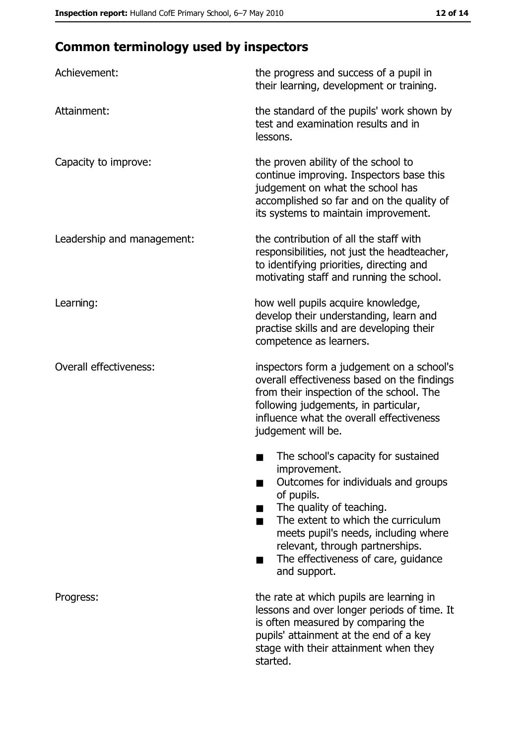## **Common terminology used by inspectors**

| Achievement:                  | the progress and success of a pupil in<br>their learning, development or training.                                                                                                                                                                                                                           |
|-------------------------------|--------------------------------------------------------------------------------------------------------------------------------------------------------------------------------------------------------------------------------------------------------------------------------------------------------------|
| Attainment:                   | the standard of the pupils' work shown by<br>test and examination results and in<br>lessons.                                                                                                                                                                                                                 |
| Capacity to improve:          | the proven ability of the school to<br>continue improving. Inspectors base this<br>judgement on what the school has<br>accomplished so far and on the quality of<br>its systems to maintain improvement.                                                                                                     |
| Leadership and management:    | the contribution of all the staff with<br>responsibilities, not just the headteacher,<br>to identifying priorities, directing and<br>motivating staff and running the school.                                                                                                                                |
| Learning:                     | how well pupils acquire knowledge,<br>develop their understanding, learn and<br>practise skills and are developing their<br>competence as learners.                                                                                                                                                          |
| <b>Overall effectiveness:</b> | inspectors form a judgement on a school's<br>overall effectiveness based on the findings<br>from their inspection of the school. The<br>following judgements, in particular,<br>influence what the overall effectiveness<br>judgement will be.                                                               |
|                               | The school's capacity for sustained<br>improvement.<br>Outcomes for individuals and groups<br>of pupils.<br>The quality of teaching.<br>The extent to which the curriculum<br>meets pupil's needs, including where<br>relevant, through partnerships.<br>The effectiveness of care, guidance<br>and support. |
| Progress:                     | the rate at which pupils are learning in<br>lessons and over longer periods of time. It<br>is often measured by comparing the<br>pupils' attainment at the end of a key<br>stage with their attainment when they<br>started.                                                                                 |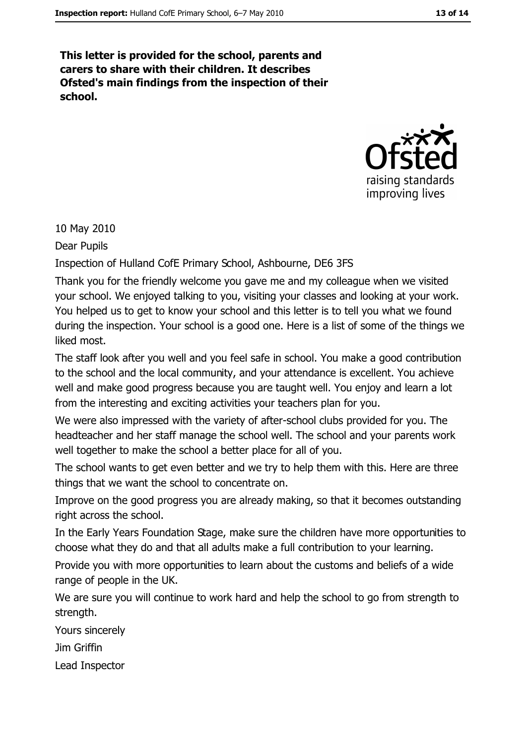This letter is provided for the school, parents and carers to share with their children. It describes Ofsted's main findings from the inspection of their school.



10 May 2010

Dear Pupils

Inspection of Hulland CofE Primary School, Ashbourne, DE6 3FS

Thank you for the friendly welcome you gave me and my colleague when we visited your school. We enjoyed talking to you, visiting your classes and looking at your work. You helped us to get to know your school and this letter is to tell you what we found during the inspection. Your school is a good one. Here is a list of some of the things we liked most.

The staff look after you well and you feel safe in school. You make a good contribution to the school and the local community, and your attendance is excellent. You achieve well and make good progress because you are taught well. You enjoy and learn a lot from the interesting and exciting activities your teachers plan for you.

We were also impressed with the variety of after-school clubs provided for you. The headteacher and her staff manage the school well. The school and your parents work well together to make the school a better place for all of you.

The school wants to get even better and we try to help them with this. Here are three things that we want the school to concentrate on.

Improve on the good progress you are already making, so that it becomes outstanding right across the school.

In the Early Years Foundation Stage, make sure the children have more opportunities to choose what they do and that all adults make a full contribution to your learning.

Provide you with more opportunities to learn about the customs and beliefs of a wide range of people in the UK.

We are sure you will continue to work hard and help the school to go from strength to strength.

Yours sincerely

Jim Griffin

Lead Inspector